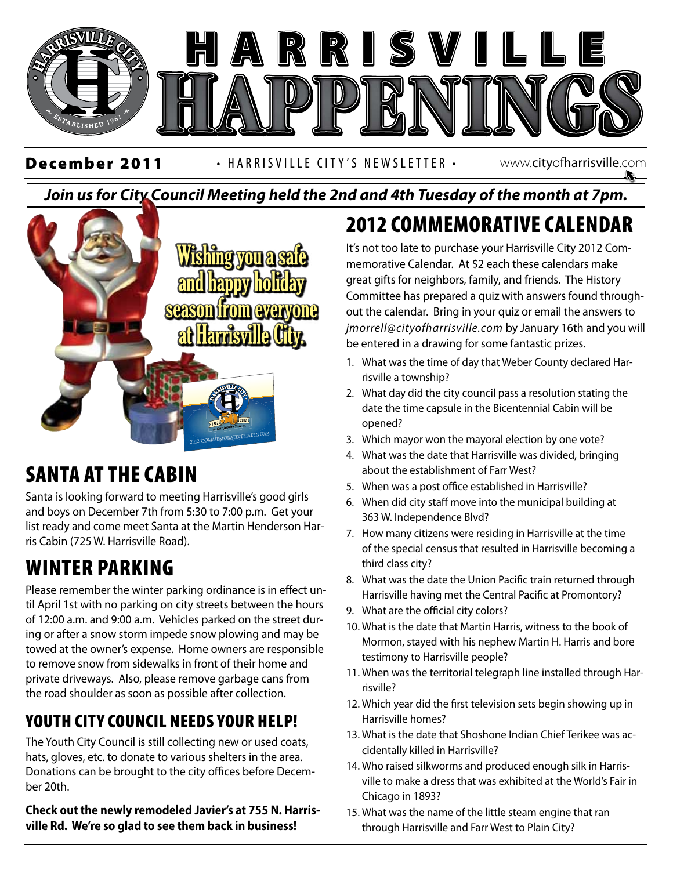

#### *Join us for City Council Meeting held the 2nd and 4th Tuesday of the month at 7pm.*



## SANTA AT THE CABIN

Santa is looking forward to meeting Harrisville's good girls and boys on December 7th from 5:30 to 7:00 p.m. Get your list ready and come meet Santa at the Martin Henderson Harris Cabin (725 W. Harrisville Road).

# WINTER PARKING

Please remember the winter parking ordinance is in effect until April 1st with no parking on city streets between the hours of 12:00 a.m. and 9:00 a.m. Vehicles parked on the street during or after a snow storm impede snow plowing and may be towed at the owner's expense. Home owners are responsible to remove snow from sidewalks in front of their home and private driveways. Also, please remove garbage cans from the road shoulder as soon as possible after collection.

### YOUTH CITY COUNCIL NEEDS YOUR HELP!

The Youth City Council is still collecting new or used coats, hats, gloves, etc. to donate to various shelters in the area. Donations can be brought to the city offices before December 20th.

**Check out the newly remodeled Javier's at 755 N. Harrisville Rd. We're so glad to see them back in business!**

# 2012 COMMEMORATIVE CALENDAR

It's not too late to purchase your Harrisville City 2012 Commemorative Calendar. At \$2 each these calendars make great gifts for neighbors, family, and friends. The History Committee has prepared a quiz with answers found throughout the calendar. Bring in your quiz or email the answers to *jmorrell@cityofharrisville.com* by January 16th and you will be entered in a drawing for some fantastic prizes.

- 1. What was the time of day that Weber County declared Harrisville a township?
- 2. What day did the city council pass a resolution stating the date the time capsule in the Bicentennial Cabin will be opened?
- 3. Which mayor won the mayoral election by one vote?
- 363 West Independence results in the margin and section by one vote:<br>4. What was the date that Harrisville was divided, bringing about the establishment of Farr West?
	- 5. When was a post office established in Harrisville?
	- 6. When did city staff move into the municipal building at 363 W. Independence Blvd?
	- 7. How many citizens were residing in Harrisville at the time of the special census that resulted in Harrisville becoming a third class city?
	- 8. What was the date the Union Pacific train returned through Harrisville having met the Central Pacific at Promontory?
	- 9. What are the official city colors?
	- 10. What is the date that Martin Harris, witness to the book of Mormon, stayed with his nephew Martin H. Harris and bore testimony to Harrisville people?
	- 11. When was the territorial telegraph line installed through Harrisville?
	- 12. Which year did the first television sets begin showing up in Harrisville homes?
	- 13. What is the date that Shoshone Indian Chief Terikee was accidentally killed in Harrisville?
	- 14. Who raised silkworms and produced enough silk in Harrisville to make a dress that was exhibited at the World's Fair in Chicago in 1893?
	- 15. What was the name of the little steam engine that ran through Harrisville and Farr West to Plain City?